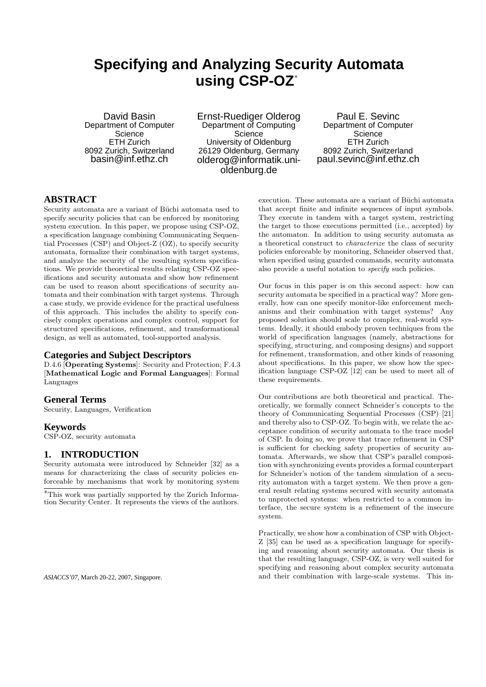# **Specifying and Analyzing Security Automata using CSP-OZ**<sup>∗</sup>

David Basin Department of Computer **Science** ETH Zurich 8092 Zurich, Switzerland basin@inf.ethz.ch

Ernst-Ruediger Olderog Department of Computing **Science** University of Oldenburg 26129 Oldenburg, Germany olderog@informatik.unioldenburg.de

Paul E. Sevinc Department of Computer **Science** ETH Zurich 8092 Zurich, Switzerland paul.sevinc@inf.ethz.ch

# **ABSTRACT**

Security automata are a variant of Büchi automata used to specify security policies that can be enforced by monitoring system execution. In this paper, we propose using CSP-OZ, a specification language combining Communicating Sequential Processes (CSP) and Object-Z (OZ), to specify security automata, formalize their combination with target systems, and analyze the security of the resulting system specifications. We provide theoretical results relating CSP-OZ specifications and security automata and show how refinement can be used to reason about specifications of security automata and their combination with target systems. Through a case study, we provide evidence for the practical usefulness of this approach. This includes the ability to specify concisely complex operations and complex control, support for structured specifications, refinement, and transformational design, as well as automated, tool-supported analysis.

# **Categories and Subject Descriptors**

D.4.6 [Operating Systems]: Security and Protection; F.4.3 [Mathematical Logic and Formal Languages]: Formal Languages

# **General Terms**

Security, Languages, Verification

# **Keywords**

CSP-OZ, security automata

# **1. INTRODUCTION**

Security automata were introduced by Schneider [32] as a means for characterizing the class of security policies enforceable by mechanisms that work by monitoring system

<sup>∗</sup>This work was partially supported by the Zurich Information Security Center. It represents the views of the authors.

*ASIACCS'07,* March 20-22, 2007, Singapore.

execution. These automata are a variant of Büchi automata that accept finite and infinite sequences of input symbols. They execute in tandem with a target system, restricting the target to those executions permitted (i.e., accepted) by the automaton. In addition to using security automata as a theoretical construct to characterize the class of security policies enforceable by monitoring, Schneider observed that, when specified using guarded commands, security automata also provide a useful notation to specify such policies.

Our focus in this paper is on this second aspect: how can security automata be specified in a practical way? More generally, how can one specify monitor-like enforcement mechanisms and their combination with target systems? Any proposed solution should scale to complex, real-world systems. Ideally, it should embody proven techniques from the world of specification languages (namely, abstractions for specifying, structuring, and composing designs) and support for refinement, transformation, and other kinds of reasoning about specifications. In this paper, we show how the specification language CSP-OZ [12] can be used to meet all of these requirements.

Our contributions are both theoretical and practical. Theoretically, we formally connect Schneider's concepts to the theory of Communicating Sequential Processes (CSP) [21] and thereby also to CSP-OZ. To begin with, we relate the acceptance condition of security automata to the trace model of CSP. In doing so, we prove that trace refinement in CSP is sufficient for checking safety properties of security automata. Afterwards, we show that CSP's parallel composition with synchronizing events provides a formal counterpart for Schneider's notion of the tandem simulation of a security automaton with a target system. We then prove a general result relating systems secured with security automata to unprotected systems: when restricted to a common interface, the secure system is a refinement of the insecure system.

Practically, we show how a combination of CSP with Object-Z [35] can be used as a specification language for specifying and reasoning about security automata. Our thesis is that the resulting language, CSP-OZ, is very well suited for specifying and reasoning about complex security automata and their combination with large-scale systems. This in-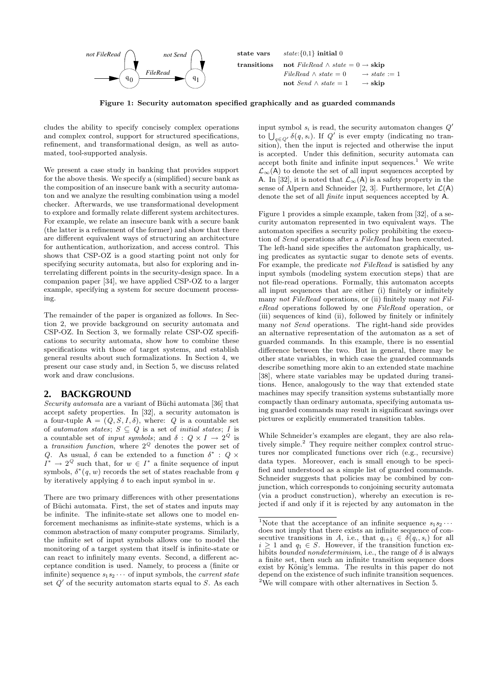

Figure 1: Security automaton specified graphically and as guarded commands

cludes the ability to specify concisely complex operations and complex control, support for structured specifications, refinement, and transformational design, as well as automated, tool-supported analysis.

We present a case study in banking that provides support for the above thesis. We specify a (simplified) secure bank as the composition of an insecure bank with a security automaton and we analyze the resulting combination using a model checker. Afterwards, we use transformational development to explore and formally relate different system architectures. For example, we relate an insecure bank with a secure bank (the latter is a refinement of the former) and show that there are different equivalent ways of structuring an architecture for authentication, authorization, and access control. This shows that CSP-OZ is a good starting point not only for specifying security automata, but also for exploring and interrelating different points in the security-design space. In a companion paper [34], we have applied CSP-OZ to a larger example, specifying a system for secure document processing.

The remainder of the paper is organized as follows. In Section 2, we provide background on security automata and CSP-OZ. In Section 3, we formally relate CSP-OZ specifications to security automata, show how to combine these specifications with those of target systems, and establish general results about such formalizations. In Section 4, we present our case study and, in Section 5, we discuss related work and draw conclusions.

# **2. BACKGROUND**

Security automata are a variant of Büchi automata  $[36]$  that accept safety properties. In [32], a security automaton is a four-tuple  $A = (Q, S, I, \delta)$ , where: Q is a countable set of automaton states;  $S \subseteq Q$  is a set of *initial states*; I is a countable set of *input symbols*; and  $\delta: Q \times I \to 2^Q$  is a transition function, where  $2^Q$  denotes the power set of Q. As usual,  $\delta$  can be extended to a function  $\delta^*$  :  $Q \times$  $I^* \to 2^Q$  such that, for  $w \in I^*$  a finite sequence of input symbols,  $\delta^*(q, w)$  records the set of states reachable from q by iteratively applying  $\delta$  to each input symbol in w.

There are two primary differences with other presentations of Büchi automata. First, the set of states and inputs may be infinite. The infinite-state set allows one to model enforcement mechanisms as infinite-state systems, which is a common abstraction of many computer programs. Similarly, the infinite set of input symbols allows one to model the monitoring of a target system that itself is infinite-state or can react to infinitely many events. Second, a different acceptance condition is used. Namely, to process a (finite or infinite) sequence  $s_1 s_2 \cdots$  of input symbols, the *current state* set  $Q'$  of the security automaton starts equal to S. As each

input symbol  $s_i$  is read, the security automaton changes  $Q'$ to  $\bigcup_{q \in Q'} \delta(q, s_i)$ . If  $Q'$  is ever empty (indicating no transition), then the input is rejected and otherwise the input is accepted. Under this definition, security automata can accept both finite and infinite input sequences.<sup>1</sup> We write  $\mathcal{L}_{\infty}(\mathsf{A})$  to denote the set of all input sequences accepted by A. In [32], it is noted that  $\mathcal{L}_{\infty}(\mathsf{A})$  is a safety property in the sense of Alpern and Schneider [2, 3]. Furthermore, let  $\mathcal{L}(\mathsf{A})$ denote the set of all finite input sequences accepted by A.

Figure 1 provides a simple example, taken from [32], of a security automaton represented in two equivalent ways. The automaton specifies a security policy prohibiting the execution of *Send* operations after a FileRead has been executed. The left-hand side specifies the automaton graphically, using predicates as syntactic sugar to denote sets of events. For example, the predicate *not FileRead* is satisfied by any input symbols (modeling system execution steps) that are not file-read operations. Formally, this automaton accepts all input sequences that are either (i) finitely or infinitely many not FileRead operations, or (ii) finitely many not FileRead operations followed by one FileRead operation, or (iii) sequences of kind (ii), followed by finitely or infinitely many not Send operations. The right-hand side provides an alternative representation of the automaton as a set of guarded commands. In this example, there is no essential difference between the two. But in general, there may be other state variables, in which case the guarded commands describe something more akin to an extended state machine [38], where state variables may be updated during transitions. Hence, analogously to the way that extended state machines may specify transition systems substantially more compactly than ordinary automata, specifying automata using guarded commands may result in significant savings over pictures or explicitly enumerated transition tables.

While Schneider's examples are elegant, they are also relatively simple.<sup>2</sup> They require neither complex control structures nor complicated functions over rich (e.g., recursive) data types. Moreover, each is small enough to be specified and understood as a simple list of guarded commands. Schneider suggests that policies may be combined by conjunction, which corresponds to conjoining security automata (via a product construction), whereby an execution is rejected if and only if it is rejected by any automaton in the

<sup>&</sup>lt;sup>1</sup>Note that the acceptance of an infinite sequence  $s_1 s_2 \cdots$ does not imply that there exists an infinite sequence of consecutive transitions in A, i.e., that  $q_{i+1} \in \delta(q_i, s_i)$  for all  $i \geq 1$  and  $q_1 \in S$ . However, if the transition function exhibits *bounded nondeterminism*, i.e., the range of  $\delta$  is always a finite set, then such an infinite transition sequence does exist by König's lemma. The results in this paper do not depend on the existence of such infinite transition sequences. <sup>2</sup>We will compare with other alternatives in Section 5.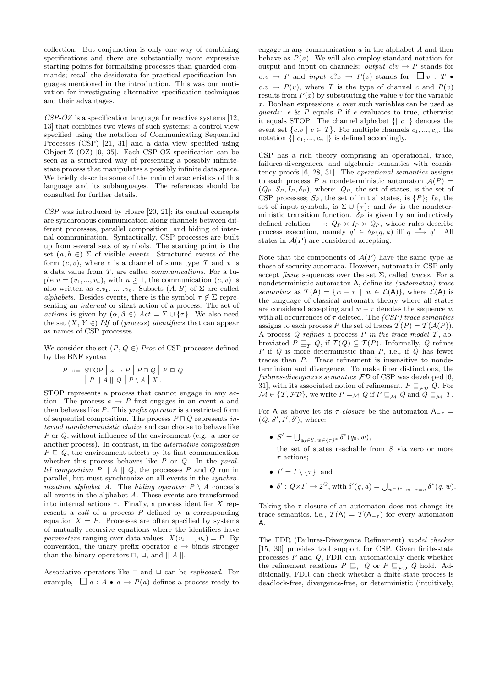collection. But conjunction is only one way of combining specifications and there are substantially more expressive starting points for formalizing processes than guarded commands; recall the desiderata for practical specification languages mentioned in the introduction. This was our motivation for investigating alternative specification techniques and their advantages.

CSP-OZ is a specification language for reactive systems [12, 13] that combines two views of such systems: a control view specified using the notation of Communicating Sequential Processes (CSP) [21, 31] and a data view specified using Object-Z (OZ) [9, 35]. Each CSP-OZ specification can be seen as a structured way of presenting a possibly infinitestate process that manipulates a possibly infinite data space. We briefly describe some of the main characteristics of this language and its sublanguages. The references should be consulted for further details.

 $CSP$  was introduced by Hoare [20, 21]; its central concepts are synchronous communication along channels between different processes, parallel composition, and hiding of internal communication. Syntactically, CSP processes are built up from several sets of symbols. The starting point is the set  $(a, b \in) \Sigma$  of visible events. Structured events of the form  $(c, v)$ , where c is a channel of some type T and v is a data value from T, are called communications. For a tuple  $v = (v_1, ..., v_n)$ , with  $n \ge 1$ , the communication  $(c, v)$  is also written as  $c.v_1$ . ...  $.v_n$ . Subsets  $(A, B)$  of  $\Sigma$  are called alphabets. Besides events, there is the symbol  $\tau \notin \Sigma$  representing an internal or silent action of a process. The set of actions is given by  $(\alpha, \beta \in)$   $Act = \Sigma \cup {\tau}$ . We also need the set  $(X, Y \in)$  *Idf* of (*process*) *identifiers* that can appear as names of CSP processes.

We consider the set  $(P, Q \in)$  *Proc* of CSP processes defined by the BNF syntax

$$
P ::= \text{STOP} | a \rightarrow P | P \sqcap Q | P \sqcap Q
$$

$$
P || A || Q | P \setminus A | X.
$$

STOP represents a process that cannot engage in any action. The process  $a \rightarrow P$  first engages in an event a and then behaves like P. This prefix operator is a restricted form of sequential composition. The process  $P \sqcap Q$  represents internal nondeterministic choice and can choose to behave like P or Q, without influence of the environment (e.g., a user or another process). In contrast, in the alternative composition  $P \sqcup Q$ , the environment selects by its first communication whether this process behaves like  $P$  or  $Q$ . In the parallel composition  $P \parallel A \parallel Q$ , the processes  $P$  and  $Q$  run in parallel, but must synchronize on all events in the synchronization alphabet A. The hiding operator  $P \setminus A$  conceals all events in the alphabet A. These events are transformed into internal actions  $\tau$ . Finally, a process identifier X represents a call of a process P defined by a corresponding equation  $X = P$ . Processes are often specified by systems of mutually recursive equations where the identifiers have parameters ranging over data values:  $X(v_1, ..., v_n) = P$ . By convention, the unary prefix operator  $a \rightarrow$  binds stronger than the binary operators  $\sqcap$ ,  $\sqcap$ , and  $\lVert A \rVert$ .

Associative operators like  $\sqcap$  and  $\sqsubseteq$  can be *replicated*. For example,  $\Box a : A \bullet a \rightarrow P(a)$  defines a process ready to

engage in any communication  $a$  in the alphabet  $A$  and then behave as  $P(a)$ . We will also employ standard notation for output and input on channels: *output*  $c!v \rightarrow P$  stands for  $c.v \rightarrow P$  and input  $c?x \rightarrow P(x)$  stands for  $\Box v : T \bullet$  $c.v \rightarrow P(v)$ , where T is the type of channel c and  $P(v)$ results from  $P(x)$  by substituting the value v for the variable  $x$ . Boolean expressions  $e$  over such variables can be used as *guards:* e &  $\overline{P}$  equals P if e evaluates to true, otherwise it equals STOP. The channel alphabet  $\{ | c | \}$  denotes the event set  $\{c.v \mid v \in T\}$ . For multiple channels  $c_1, ..., c_n$ , the notation  $\{ | c_1, ..., c_n | \}$  is defined accordingly.

CSP has a rich theory comprising an operational, trace, failures-divergences, and algebraic semantics with consistency proofs [6, 28, 31]. The operational semantics assigns to each process P a nondeterministic automaton  $A(P)$  =  $(Q_P, S_P, I_P, \delta_P)$ , where:  $Q_P$ , the set of states, is the set of CSP processes;  $S_P$ , the set of initial states, is  $\{P\}$ ;  $I_P$ , the set of input symbols, is  $\Sigma \cup {\tau}$ ; and  $\delta_P$  is the nondeterministic transition function.  $\delta_P$  is given by an inductively defined relation  $\longrightarrow: Q_P \times I_P \times Q_P$ , whose rules describe process execution, namely  $q' \in \delta_P(q, a)$  iff  $q \stackrel{a}{\longrightarrow} q'$ . All states in  $A(P)$  are considered accepting.

Note that the components of  $A(P)$  have the same type as those of security automata. However, automata in CSP only accept *finite* sequences over the set  $\Sigma$ , called *traces*. For a nondeterministic automaton A, define its (automaton) trace semantics as  $\mathcal{T}(\mathsf{A}) = \{w - \tau \mid w \in \mathcal{L}(\mathsf{A})\}\)$ , where  $\mathcal{L}(\mathsf{A})$  is the language of classical automata theory where all states are considered accepting and  $w - \tau$  denotes the sequence w with all occurrences of  $\tau$  deleted. The *(CSP)* trace semantics assigns to each process P the set of traces  $T(P) = T(A(P))$ . A process  $Q$  refines a process  $P$  in the trace model  $T$ , abbreviated  $P \sqsubseteq_{\mathcal{T}} Q$ , if  $\mathcal{T}(Q) \subseteq \mathcal{T}(P)$ . Informally, Q refines  $P$  if  $Q$  is more deterministic than  $P$ , i.e., if  $Q$  has fewer traces than P. Trace refinement is insensitive to nondeterminism and divergence. To make finer distinctions, the failures-divergences semantics  $\mathcal{FD}$  of CSP was developed [6, 31], with its associated notion of refinement,  $P \sqsubseteq_{\mathcal{FD}} Q$ . For  $M \in \{T, {\cal FD}\},\,$  we write  $P =_{\mathcal M} Q$  if  $P \sqsubseteq_{\mathcal M} Q$  and  $Q \sqsubseteq_{\mathcal M} T$ .

For A as above let its  $\tau$ -closure be the automaton  $A_{-\tau}$  =  $(Q, S', I', \delta')$ , where:

- $S' = \bigcup_{q_0 \in S, w \in \{\tau\}^*} \delta^*(q_0, w),$ the set of states reachable from  $S$  via zero or more  $\tau$ -actions;
- $I' = I \setminus {\tau}$ ; and
- $\delta' : Q \times I' \to 2^Q$ , with  $\delta'(q, a) = \bigcup_{w \in I^*, w \tau = a} \delta^*(q, w)$ .

Taking the  $\tau$ -closure of an automaton does not change its trace semantics, i.e.,  $\mathcal{T}(\mathsf{A}) = \mathcal{T}(\mathsf{A}_{-\tau})$  for every automaton A.

The FDR (Failures-Divergence Refinement) model checker [15, 30] provides tool support for CSP. Given finite-state processes P and Q, FDR can automatically check whether the refinement relations  $P \sqsubseteq_{\mathcal{T}} Q$  or  $P \sqsubseteq_{\mathcal{FD}} Q$  hold. Additionally, FDR can check whether a finite-state process is deadlock-free, divergence-free, or deterministic (intuitively,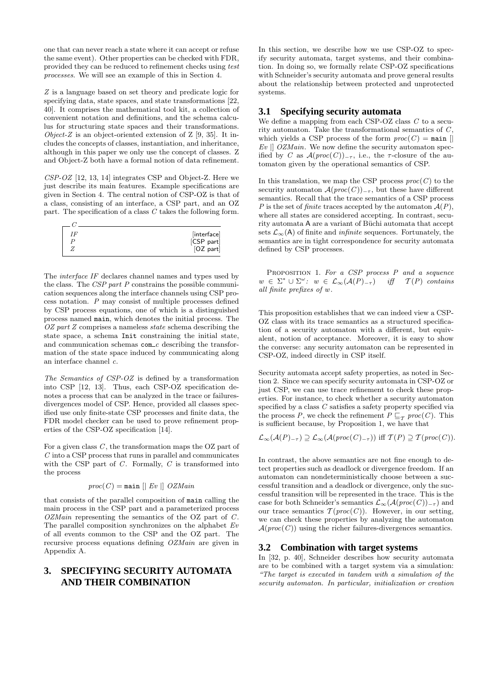one that can never reach a state where it can accept or refuse the same event). Other properties can be checked with FDR, provided they can be reduced to refinement checks using test processes. We will see an example of this in Section 4.

Z is a language based on set theory and predicate logic for specifying data, state spaces, and state transformations [22, 40]. It comprises the mathematical tool kit, a collection of convenient notation and definitions, and the schema calculus for structuring state spaces and their transformations. *Object-Z* is an object-oriented extension of  $Z$  [9, 35]. It includes the concepts of classes, instantiation, and inheritance, although in this paper we only use the concept of classes. Z and Object-Z both have a formal notion of data refinement.

CSP-OZ [12, 13, 14] integrates CSP and Object-Z. Here we just describe its main features. Example specifications are given in Section 4. The central notion of CSP-OZ is that of a class, consisting of an interface, a CSP part, and an OZ part. The specification of a class C takes the following form.

| ΙF | [interface] |
|----|-------------|
|    | [CSP part]  |
|    | [OZ part]   |

The interface IF declares channel names and types used by the class. The CSP part P constrains the possible communication sequences along the interface channels using CSP process notation. P may consist of multiple processes defined by CSP process equations, one of which is a distinguished process named main, which denotes the initial process. The OZ part Z comprises a nameless *state* schema describing the state space, a schema Init constraining the initial state, and communication schemas  $com_c$  describing the transformation of the state space induced by communicating along an interface channel c.

The Semantics of CSP-OZ is defined by a transformation into CSP [12, 13]. Thus, each CSP-OZ specification denotes a process that can be analyzed in the trace or failuresdivergences model of CSP. Hence, provided all classes specified use only finite-state CSP processes and finite data, the FDR model checker can be used to prove refinement properties of the CSP-OZ specification [14].

For a given class C, the transformation maps the OZ part of C into a CSP process that runs in parallel and communicates with the CSP part of  $C$ . Formally,  $C$  is transformed into the process

$$
proc(C) = \text{main} \; [Ev \; || \; OZMain
$$

that consists of the parallel composition of main calling the main process in the CSP part and a parameterized process OZMain representing the semantics of the OZ part of C. The parallel composition synchronizes on the alphabet  $Ev$ of all events common to the CSP and the OZ part. The recursive process equations defining OZMain are given in Appendix A.

# **3. SPECIFYING SECURITY AUTOMATA AND THEIR COMBINATION**

In this section, we describe how we use CSP-OZ to specify security automata, target systems, and their combination. In doing so, we formally relate CSP-OZ specifications with Schneider's security automata and prove general results about the relationship between protected and unprotected systems.

## **3.1 Specifying security automata**

We define a mapping from each CSP-OZ class  $C$  to a security automaton. Take the transformational semantics of C, which yields a CSP process of the form  $proc(C) = \text{main}$  $Ev$  |  $OZMain$ . We now define the security automaton specified by C as  $\mathcal{A}(proc(C))_{-\tau}$ , i.e., the  $\tau$ -closure of the automaton given by the operational semantics of CSP.

In this translation, we map the CSP process  $proc(C)$  to the security automaton  $\mathcal{A}(proc(C))_{-\tau}$ , but these have different semantics. Recall that the trace semantics of a CSP process P is the set of finite traces accepted by the automaton  $\mathcal{A}(P)$ , where all states are considered accepting. In contrast, security automata A are a variant of Büchi automata that accept sets  $\mathcal{L}_{\infty}(\mathsf{A})$  of finite and *infinite* sequences. Fortunately, the semantics are in tight correspondence for security automata defined by CSP processes.

PROPOSITION 1. For a CSP process P and a sequence  $w \in \Sigma^* \cup \Sigma^\omega$ :  $w \in \mathcal{L}_{\infty}(\mathcal{A}(P)_{-\tau})$  iff  $\mathcal{T}(P)$  contains all finite prefixes of w.

This proposition establishes that we can indeed view a CSP-OZ class with its trace semantics as a structured specification of a security automaton with a different, but equivalent, notion of acceptance. Moreover, it is easy to show the converse: any security automaton can be represented in CSP-OZ, indeed directly in CSP itself.

Security automata accept safety properties, as noted in Section 2. Since we can specify security automata in CSP-OZ or just CSP, we can use trace refinement to check these properties. For instance, to check whether a security automaton specified by a class C satisfies a safety property specified via the process P, we check the refinement  $P \sqsubseteq_{\mathcal{T}} proc(C)$ . This is sufficient because, by Proposition 1, we have that

$$
\mathcal{L}_{\infty}(\mathcal{A}(P)_{-\tau}) \supseteq \mathcal{L}_{\infty}(\mathcal{A}(proc(C)_{-\tau})) \text{ iff } \mathcal{T}(P) \supseteq \mathcal{T}(proc(C)).
$$

In contrast, the above semantics are not fine enough to detect properties such as deadlock or divergence freedom. If an automaton can nondeterministically choose between a successful transition and a deadlock or divergence, only the successful transition will be represented in the trace. This is the case for both Schneider's semantics  $\mathcal{L}_{\infty}(\mathcal{A}(proc(C))_{-\tau})$  and our trace semantics  $\mathcal{T}(proc(C))$ . However, in our setting, we can check these properties by analyzing the automaton  $\mathcal{A}(proc(C))$  using the richer failures-divergences semantics.

# **3.2 Combination with target systems**

In [32, p. 40], Schneider describes how security automata are to be combined with a target system via a simulation: "The target is executed in tandem with a simulation of the security automaton. In particular, initialization or creation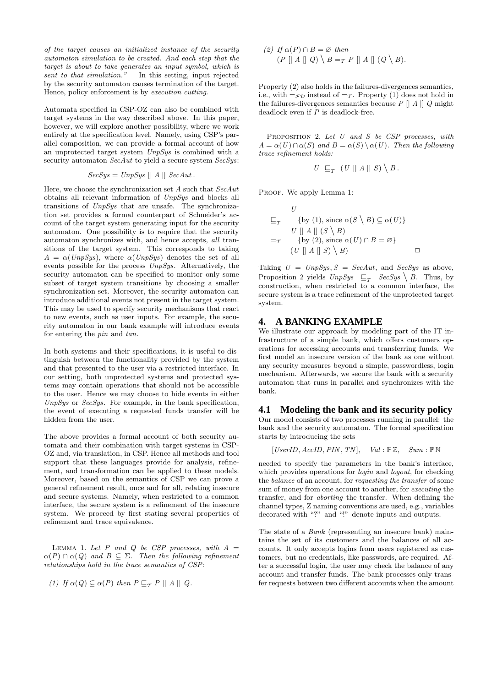of the target causes an initialized instance of the security automaton simulation to be created. And each step that the target is about to take generates an input symbol, which is sent to that simulation." In this setting, input rejected by the security automaton causes termination of the target. Hence, policy enforcement is by execution cutting.

Automata specified in CSP-OZ can also be combined with target systems in the way described above. In this paper, however, we will explore another possibility, where we work entirely at the specification level. Namely, using CSP's parallel composition, we can provide a formal account of how an unprotected target system UnpSys is combined with a security automaton SecAut to yield a secure system SecSys:

$$
SecSys = UnpSys \mid A \mid] SecAut.
$$

Here, we choose the synchronization set  $A$  such that  $SecAut$ obtains all relevant information of UnpSys and blocks all transitions of UnpSys that are unsafe. The synchronization set provides a formal counterpart of Schneider's account of the target system generating input for the security automaton. One possibility is to require that the security automaton synchronizes with, and hence accepts, all transitions of the target system. This corresponds to taking  $A = \alpha(UnpSys)$ , where  $\alpha(UnpSys)$  denotes the set of all events possible for the process UnpSys. Alternatively, the security automaton can be specified to monitor only some subset of target system transitions by choosing a smaller synchronization set. Moreover, the security automaton can introduce additional events not present in the target system. This may be used to specify security mechanisms that react to new events, such as user inputs. For example, the security automaton in our bank example will introduce events for entering the pin and tan.

In both systems and their specifications, it is useful to distinguish between the functionality provided by the system and that presented to the user via a restricted interface. In our setting, both unprotected systems and protected systems may contain operations that should not be accessible to the user. Hence we may choose to hide events in either  $UnpSys$  or  $SecSys$ . For example, in the bank specification, the event of executing a requested funds transfer will be hidden from the user.

The above provides a formal account of both security automata and their combination with target systems in CSP-OZ and, via translation, in CSP. Hence all methods and tool support that these languages provide for analysis, refinement, and transformation can be applied to these models. Moreover, based on the semantics of CSP we can prove a general refinement result, once and for all, relating insecure and secure systems. Namely, when restricted to a common interface, the secure system is a refinement of the insecure system. We proceed by first stating several properties of refinement and trace equivalence.

LEMMA 1. Let  $P$  and  $Q$  be CSP processes, with  $A =$  $\alpha(P) \cap \alpha(Q)$  and  $B \subseteq \Sigma$ . Then the following refinement relationships hold in the trace semantics of CSP:

(1) If 
$$
\alpha(Q) \subseteq \alpha(P)
$$
 then  $P \sqsubseteq_{\mathcal{T}} P$   $[|A|]$  Q.

(2) If 
$$
\alpha(P) \cap B = \varnothing
$$
 then  
\n $(P \parallel A \parallel Q) \setminus B = \tau P \parallel A \parallel (Q \setminus B).$ 

Property (2) also holds in the failures-divergences semantics. i.e., with  $\equiv_{\mathcal{FD}}$  instead of  $\equiv_{\mathcal{T}}$ . Property (1) does not hold in the failures-divergences semantics because  $P \parallel A \parallel Q$  might deadlock even if  $\overline{P}$  is deadlock-free.

PROPOSITION 2. Let U and S be CSP processes, with  $A = \alpha(U) \cap \alpha(S)$  and  $B = \alpha(S) \setminus \alpha(U)$ . Then the following trace refinement holds:

$$
U \subseteq_{\mathcal{T}} (U[[A]]S) \setminus B.
$$

PROOF. We apply Lemma 1:

$$
\begin{aligned}\nU & \xrightarrow{\text{by (1), since } \alpha(S \setminus B) \subseteq \alpha(U)} \\
U & \xrightarrow{\text{by (1), since } \alpha(S \setminus B) \subseteq \alpha(U)} \\
&= \tau \qquad \text{by (2), since } \alpha(U) \cap B = \varnothing \\
(U & \xrightarrow{\text{by (1), } B} B) \qquad \qquad \Box\n\end{aligned}
$$

Taking  $U = UnpSys, S = SecAut, and SecSys$  as above, Proposition 2 yields  $UnpSys \subseteq_T \text{SecSys} \setminus B$ . Thus, by construction, when restricted to a common interface, the secure system is a trace refinement of the unprotected target system.

#### **4. A BANKING EXAMPLE**

We illustrate our approach by modeling part of the IT infrastructure of a simple bank, which offers customers operations for accessing accounts and transferring funds. We first model an insecure version of the bank as one without any security measures beyond a simple, passwordless, login mechanism. Afterwards, we secure the bank with a security automaton that runs in parallel and synchronizes with the bank.

#### **4.1 Modeling the bank and its security policy**

Our model consists of two processes running in parallel: the bank and the security automaton. The formal specification starts by introducing the sets

[*UserID*, *AccID*, *PIN*, *TN*], *Val* : 
$$
\mathbb{P}\mathbb{Z}
$$
, *Sum* :  $\mathbb{P}\mathbb{N}$ 

needed to specify the parameters in the bank's interface, which provides operations for *login* and *logout*, for checking the balance of an account, for requesting the transfer of some sum of money from one account to another, for executing the transfer, and for aborting the transfer. When defining the channel types, Z naming conventions are used, e.g., variables decorated with "?" and "!" denote inputs and outputs.

The state of a Bank (representing an insecure bank) maintains the set of its customers and the balances of all accounts. It only accepts logins from users registered as customers, but no credentials, like passwords, are required. After a successful login, the user may check the balance of any account and transfer funds. The bank processes only transfer requests between two different accounts when the amount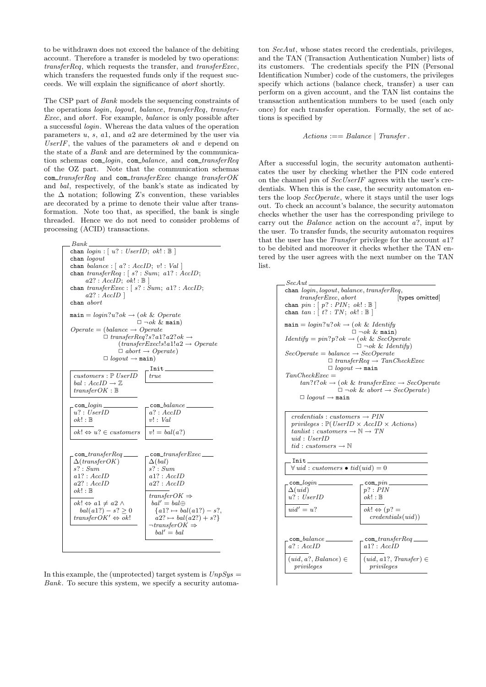to be withdrawn does not exceed the balance of the debiting account. Therefore a transfer is modeled by two operations:  $transferReq$ , which requests the transfer, and  $transferExec$ , which transfers the requested funds only if the request succeeds. We will explain the significance of abort shortly.

The CSP part of Bank models the sequencing constraints of the operations *login*, *logout*, *balance*, *transferReq*, *transfer-*Exec, and abort. For example, balance is only possible after a successful login. Whereas the data values of the operation parameters u, s, a1, and a2 are determined by the user via UserIF, the values of the parameters  $ok$  and  $v$  depend on the state of a Bank and are determined by the communication schemas com login, com balance, and com transferReq of the OZ part. Note that the communication schemas com transferReq and com transferExec change transferOK and bal, respectively, of the bank's state as indicated by the  $\Delta$  notation; following Z's convention, these variables are decorated by a prime to denote their value after transformation. Note too that, as specified, the bank is single threaded. Hence we do not need to consider problems of processing (ACID) transactions.



In this example, the (unprotected) target system is  $UnpSys =$ Bank. To secure this system, we specify a security automa-

ton SecAut, whose states record the credentials, privileges, and the TAN (Transaction Authentication Number) lists of its customers. The credentials specify the PIN (Personal Identification Number) code of the customers, the privileges specify which actions (balance check, transfer) a user can perform on a given account, and the TAN list contains the transaction authentication numbers to be used (each only once) for each transfer operation. Formally, the set of actions is specified by

$$
Actions := = Balance | Transfer.
$$

After a successful login, the security automaton authenticates the user by checking whether the PIN code entered on the channel pin of SecUserIF agrees with the user's credentials. When this is the case, the security automaton enters the loop *SecOperate*, where it stays until the user logs out. To check an account's balance, the security automaton checks whether the user has the corresponding privilege to carry out the Balance action on the account a?, input by the user. To transfer funds, the security automaton requires that the user has the Transfer privilege for the account a1? to be debited and moreover it checks whether the TAN entered by the user agrees with the next number on the TAN list.

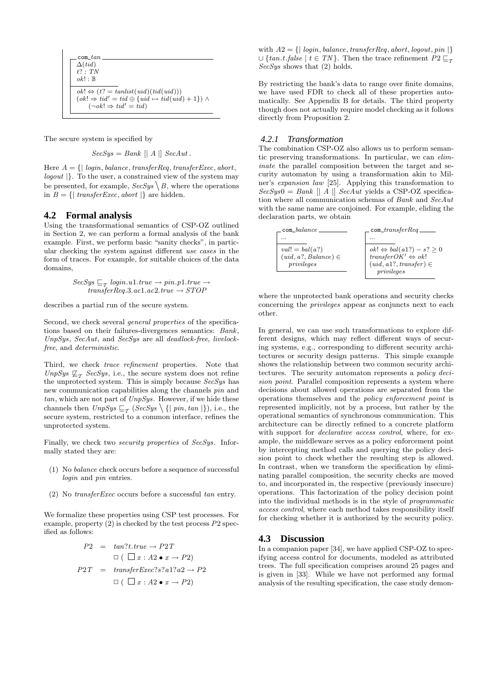$$
\begin{array}{l}\n\texttt{com\_tan}\n\\ \n\Delta(tid) \\
t? : TN \\
ok! : \mathbb{B} \\
\hline\nok! \Leftrightarrow (t? = tanlist(uid)(tid(uid))) \\
(ok! \Rightarrow tid' = tid \oplus \{uid \mapsto tid(uid) + 1\}) \wedge \\
(\neg ok! \Rightarrow tid' = tid)\n\end{array}
$$

The secure system is specified by

 $SecSys = Bank \parallel A \parallel SecAut$ .

Here  $A = \{ |\,\>loqin, \> balance, \> transferReg, \> transferExec, \> abort, \}$  $logout$  |. To the user, a constrained view of the system may be presented, for example,  $SecSys \setminus B$ , where the operations in  $B = \{ | \; transferExec, abort | \}$  are hidden.

#### **4.2 Formal analysis**

Using the transformational semantics of CSP-OZ outlined in Section 2, we can perform a formal analysis of the bank example. First, we perform basic "sanity checks", in particular checking the system against different use cases in the form of traces. For example, for suitable choices of the data domains,

> $SecSys \sqsubseteq_{\mathcal{T}} login.u1,true \rightarrow pin.p1,true \rightarrow$  $transferReg.3.ac1.ac2.true \rightarrow STOP$

describes a partial run of the secure system.

Second, we check several *general properties* of the specifications based on their failures-divergences semantics: Bank, UnpSys, SecAut, and SecSys are all deadlock-free, livelockfree, and deterministic.

Third, we check trace refinement properties. Note that UnpSys  $\mathcal{I}_{\mathcal{T}}$  SecSys, i.e., the secure system does not refine the unprotected system. This is simply because SecSys has new communication capabilities along the channels pin and tan, which are not part of UnpSys. However, if we hide these channels then  $UnpSys \sqsubseteq_{\mathcal{T}} (SecSys \setminus \{ | \ pin, tan \} ),$  i.e., the secure system, restricted to a common interface, refines the unprotected system.

Finally, we check two security properties of SecSys. Informally stated they are:

- (1) No balance check occurs before a sequence of successful login and pin entries.
- (2) No transferExec occurs before a successful tan entry.

We formalize these properties using CSP test processes. For example, property  $(2)$  is checked by the test process  $P2$  specified as follows:

$$
P2 = tan?t.txtue \rightarrow P2T
$$
  
\n
$$
\Box (\Box x : A2 \bullet x \rightarrow P2)
$$
  
\n
$$
P2T = transferExec?s?a1?a2 \rightarrow P2
$$
  
\n
$$
\Box (\Box x : A2 \bullet x \rightarrow P2)
$$

with  $A2 = \{ | login, balance, transferReg, abort, logout, pin | \}$  $\cup \{tan.t.\text{false} \mid t \in TN\}$ . Then the trace refinement  $P2 \sqsubseteq_{\mathcal{T}}$  $SecSys$  shows that  $(2)$  holds.

By restricting the bank's data to range over finite domains, we have used FDR to check all of these properties automatically. See Appendix B for details. The third property though does not actually require model checking as it follows directly from Proposition 2.

#### *4.2.1 Transformation*

The combination CSP-OZ also allows us to perform semantic preserving transformations. In particular, we can eliminate the parallel composition between the target and security automaton by using a transformation akin to Milner's expansion law [25]. Applying this transformation to  $SecSys0 = Bank$  [| A ||  $SecAut$  yields a CSP-OZ specification where all communication schemas of Bank and SecAut with the same name are conjoined. For example, eliding the declaration parts, we obtain

| $com-balance$ .          | commtransferReg                                                                |
|--------------------------|--------------------------------------------------------------------------------|
|                          |                                                                                |
| $val! = bal(a?)$         | $ok! \Leftrightarrow bal(a1?) - s? \ge 0$<br>transferOK' $\Leftrightarrow ok!$ |
| $(uid, a?, Balance) \in$ |                                                                                |
| privileges               | $(uid, a1?, transfer) \in$                                                     |
|                          | privileges                                                                     |

where the unprotected bank operations and security checks concerning the privileges appear as conjuncts next to each other.

In general, we can use such transformations to explore different designs, which may reflect different ways of securing systems, e.g., corresponding to different security architectures or security design patterns. This simple example shows the relationship between two common security architectures. The security automaton represents a policy decision point. Parallel composition represents a system where decisions about allowed operations are separated from the operations themselves and the policy enforcement point is represented implicitly, not by a process, but rather by the operational semantics of synchronous communication. This architecture can be directly refined to a concrete platform with support for *declarative access control*, where, for example, the middleware serves as a policy enforcement point by intercepting method calls and querying the policy decision point to check whether the resulting step is allowed. In contrast, when we transform the specification by eliminating parallel composition, the security checks are moved to, and incorporated in, the respective (previously insecure) operations. This factorization of the policy decision point into the individual methods is in the style of programmatic access control, where each method takes responsibility itself for checking whether it is authorized by the security policy.

#### **4.3 Discussion**

In a companion paper [34], we have applied CSP-OZ to specifying access control for documents, modeled as attributed trees. The full specification comprises around 25 pages and is given in [33]. While we have not performed any formal analysis of the resulting specification, the case study demon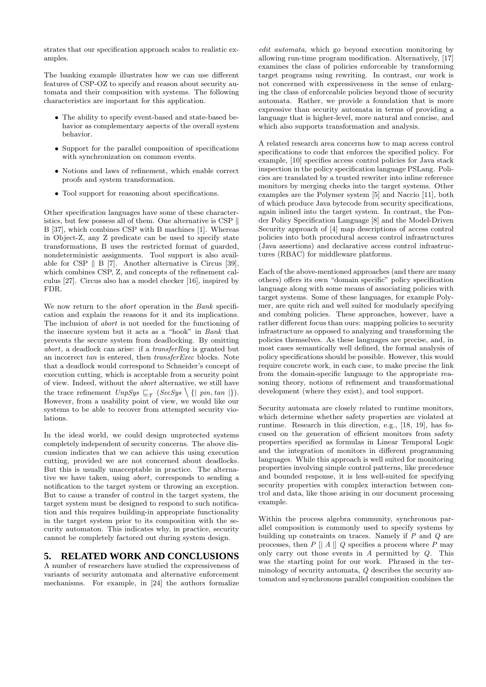strates that our specification approach scales to realistic examples.

The banking example illustrates how we can use different features of CSP-OZ to specify and reason about security automata and their composition with systems. The following characteristics are important for this application.

- The ability to specify event-based and state-based behavior as complementary aspects of the overall system behavior.
- Support for the parallel composition of specifications with synchronization on common events.
- Notions and laws of refinement, which enable correct proofs and system transformation.
- Tool support for reasoning about specifications.

Other specification languages have some of these characteristics, but few possess all of them. One alternative is  $CSP \parallel$ B [37], which combines CSP with B machines [1]. Whereas in Object-Z, any Z predicate can be used to specify state transformations, B uses the restricted format of guarded, nondeterministic assignments. Tool support is also available for CSP  $\parallel$  B [7]. Another alternative is Circus [39], which combines CSP, Z, and concepts of the refinement calculus [27]. Circus also has a model checker [16], inspired by FDR.

We now return to the *abort* operation in the *Bank* specification and explain the reasons for it and its implications. The inclusion of abort is not needed for the functioning of the insecure system but it acts as a "hook" in Bank that prevents the secure system from deadlocking. By omitting abort, a deadlock can arise: if a *transferReq* is granted but an incorrect tan is entered, then transferExec blocks. Note that a deadlock would correspond to Schneider's concept of execution cutting, which is acceptable from a security point of view. Indeed, without the abort alternative, we still have the trace refinement  $UnpSys \sqsubseteq_{\mathcal{T}} (SecSys \setminus \{ | \ pin, tan \} ).$ However, from a usability point of view, we would like our systems to be able to recover from attempted security violations.

In the ideal world, we could design unprotected systems completely independent of security concerns. The above discussion indicates that we can achieve this using execution cutting, provided we are not concerned about deadlocks. But this is usually unacceptable in practice. The alternative we have taken, using abort, corresponds to sending a notification to the target system or throwing an exception. But to cause a transfer of control in the target system, the target system must be designed to respond to such notification and this requires building-in appropriate functionality in the target system prior to its composition with the security automaton. This indicates why, in practice, security cannot be completely factored out during system design.

# **5. RELATED WORK AND CONCLUSIONS**

A number of researchers have studied the expressiveness of variants of security automata and alternative enforcement mechanisms. For example, in [24] the authors formalize

edit automata, which go beyond execution monitoring by allowing run-time program modification. Alternatively, [17] examines the class of policies enforceable by transforming target programs using rewriting. In contrast, our work is not concerned with expressiveness in the sense of enlarging the class of enforceable policies beyond those of security automata. Rather, we provide a foundation that is more expressive than security automata in terms of providing a language that is higher-level, more natural and concise, and which also supports transformation and analysis.

A related research area concerns how to map access control specifications to code that enforces the specified policy. For example, [10] specifies access control policies for Java stack inspection in the policy specification language PSLang. Policies are translated by a trusted rewriter into inline reference monitors by merging checks into the target systems. Other examples are the Polymer system [5] and Naccio [11], both of which produce Java bytecode from security specifications, again inlined into the target system. In contrast, the Ponder Policy Specification Language [8] and the Model-Driven Security approach of [4] map descriptions of access control policies into both procedural access control infrastructures (Java assertions) and declarative access control infrastructures (RBAC) for middleware platforms.

Each of the above-mentioned approaches (and there are many others) offers its own "domain specific" policy specification language along with some means of associating policies with target systems. Some of these languages, for example Polymer, are quite rich and well suited for modularly specifying and combing policies. These approaches, however, have a rather different focus than ours: mapping policies to security infrastructure as opposed to analyzing and transforming the policies themselves. As these languages are precise, and, in most cases semantically well defined, the formal analysis of policy specifications should be possible. However, this would require concrete work, in each case, to make precise the link from the domain-specific language to the appropriate reasoning theory, notions of refinement and transformational development (where they exist), and tool support.

Security automata are closely related to runtime monitors, which determine whether safety properties are violated at runtime. Research in this direction, e.g., [18, 19], has focused on the generation of efficient monitors from safety properties specified as formulas in Linear Temporal Logic and the integration of monitors in different programming languages. While this approach is well suited for monitoring properties involving simple control patterns, like precedence and bounded response, it is less well-suited for specifying security properties with complex interaction between control and data, like those arising in our document processing example.

Within the process algebra community, synchronous parallel composition is commonly used to specify systems by building up constraints on traces. Namely if  $P$  and  $Q$  are processes, then  $P \parallel A \parallel Q$  specifies a process where P may only carry out those events in  $A$  permitted by  $Q$ . This was the starting point for our work. Phrased in the terminology of security automata, Q describes the security automaton and synchronous parallel composition combines the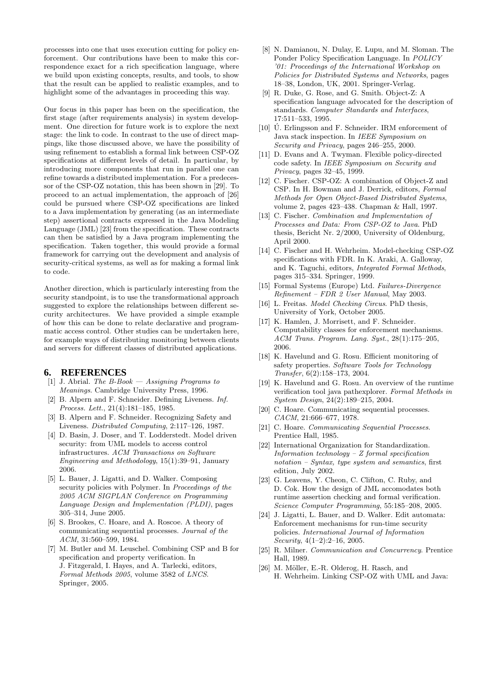processes into one that uses execution cutting for policy enforcement. Our contributions have been to make this correspondence exact for a rich specification language, where we build upon existing concepts, results, and tools, to show that the result can be applied to realistic examples, and to highlight some of the advantages in proceeding this way.

Our focus in this paper has been on the specification, the first stage (after requirements analysis) in system development. One direction for future work is to explore the next stage: the link to code. In contrast to the use of direct mappings, like those discussed above, we have the possibility of using refinement to establish a formal link between CSP-OZ specifications at different levels of detail. In particular, by introducing more components that run in parallel one can refine towards a distributed implementation. For a predecessor of the CSP-OZ notation, this has been shown in [29]. To proceed to an actual implementation, the approach of [26] could be pursued where CSP-OZ specifications are linked to a Java implementation by generating (as an intermediate step) assertional contracts expressed in the Java Modeling Language (JML) [23] from the specification. These contracts can then be satisfied by a Java program implementing the specification. Taken together, this would provide a formal framework for carrying out the development and analysis of security-critical systems, as well as for making a formal link to code.

Another direction, which is particularly interesting from the security standpoint, is to use the transformational approach suggested to explore the relationships between different security architectures. We have provided a simple example of how this can be done to relate declarative and programmatic access control. Other studies can be undertaken here, for example ways of distributing monitoring between clients and servers for different classes of distributed applications.

#### **6. REFERENCES**

- [1] J. Abrial. The B-Book Assigning Programs to Meanings. Cambridge University Press, 1996.
- [2] B. Alpern and F. Schneider. Defining Liveness. Inf. Process. Lett., 21(4):181–185, 1985.
- [3] B. Alpern and F. Schneider. Recognizing Safety and Liveness. Distributed Computing, 2:117–126, 1987.
- [4] D. Basin, J. Doser, and T. Lodderstedt. Model driven security: from UML models to access control infrastructures. ACM Transactions on Software Engineering and Methodology, 15(1):39–91, January 2006.
- [5] L. Bauer, J. Ligatti, and D. Walker. Composing security policies with Polymer. In Proceedings of the 2005 ACM SIGPLAN Conference on Programming Language Design and Implementation (PLDI), pages 305–314, June 2005.
- [6] S. Brookes, C. Hoare, and A. Roscoe. A theory of communicating sequential processes. Journal of the ACM, 31:560–599, 1984.
- [7] M. Butler and M. Leuschel. Combining CSP and B for specification and property verification. In J. Fitzgerald, I. Hayes, and A. Tarlecki, editors, Formal Methods 2005, volume 3582 of LNCS. Springer, 2005.
- [8] N. Damianou, N. Dulay, E. Lupu, and M. Sloman. The Ponder Policy Specification Language. In POLICY '01: Proceedings of the International Workshop on Policies for Distributed Systems and Networks, pages 18–38, London, UK, 2001. Springer-Verlag.
- [9] R. Duke, G. Rose, and G. Smith. Object-Z: A specification language advocated for the description of standards. Computer Standards and Interfaces, 17:511–533, 1995.
- $[10]$  U. Erlingsson and F. Schneider. IRM enforcement of Java stack inspection. In IEEE Symposium on Security and Privacy, pages 246–255, 2000.
- [11] D. Evans and A. Twyman. Flexible policy-directed code safety. In IEEE Symposium on Security and Privacy, pages 32–45, 1999.
- [12] C. Fischer. CSP-OZ: A combination of Object-Z and CSP. In H. Bowman and J. Derrick, editors, Formal Methods for Open Object-Based Distributed Systems, volume 2, pages 423–438. Chapman & Hall, 1997.
- [13] C. Fischer. Combination and Implementation of Processes and Data: From CSP-OZ to Java. PhD thesis, Bericht Nr. 2/2000, University of Oldenburg, April 2000.
- [14] C. Fischer and H. Wehrheim. Model-checking CSP-OZ specifications with FDR. In K. Araki, A. Galloway, and K. Taguchi, editors, Integrated Formal Methods, pages 315–334. Springer, 1999.
- [15] Formal Systems (Europe) Ltd. Failures-Divergence Refinement – FDR 2 User Manual, May 2003.
- [16] L. Freitas. Model Checking Circus. PhD thesis, University of York, October 2005.
- [17] K. Hamlen, J. Morrisett, and F. Schneider. Computability classes for enforcement mechanisms. ACM Trans. Program. Lang. Syst., 28(1):175–205, 2006.
- [18] K. Havelund and G. Rosu. Efficient monitoring of safety properties. Software Tools for Technology Transfer, 6(2):158–173, 2004.
- [19] K. Havelund and G. Rosu. An overview of the runtime verification tool java pathexplorer. Formal Methods in System Design, 24(2):189–215, 2004.
- [20] C. Hoare. Communicating sequential processes. CACM, 21:666-677, 1978.
- [21] C. Hoare. *Communicating Sequential Processes*. Prentice Hall, 1985.
- [22] International Organization for Standardization. Information technology  $-$  Z formal specification notation – Syntax, type system and semantics, first edition, July 2002.
- [23] G. Leavens, Y. Cheon, C. Clifton, C. Ruby, and D. Cok. How the design of JML accomodates both runtime assertion checking and formal verification. Science Computer Programming, 55:185–208, 2005.
- [24] J. Ligatti, L. Bauer, and D. Walker. Edit automata: Enforcement mechanisms for run-time security policies. International Journal of Information Security, 4(1–2):2–16, 2005.
- [25] R. Milner. Communication and Concurrency. Prentice Hall, 1989.
- [26] M. Möller, E.-R. Olderog, H. Rasch, and H. Wehrheim. Linking CSP-OZ with UML and Java: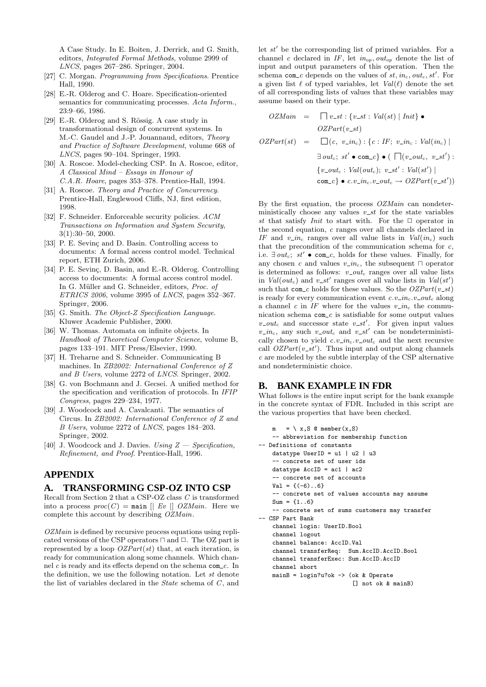A Case Study. In E. Boiten, J. Derrick, and G. Smith, editors, Integrated Formal Methods, volume 2999 of LNCS, pages 267–286. Springer, 2004.

- [27] C. Morgan. Programming from Specifications. Prentice Hall, 1990.
- [28] E.-R. Olderog and C. Hoare. Specification-oriented semantics for communicating processes. Acta Inform., 23:9–66, 1986.
- [29] E.-R. Olderog and S. Rössig. A case study in transformational design of concurrent systems. In M.-C. Gaudel and J.-P. Jouannaud, editors, Theory and Practice of Software Development, volume 668 of LNCS, pages 90–104. Springer, 1993.
- [30] A. Roscoe. Model-checking CSP. In A. Roscoe, editor, A Classical Mind – Essays in Honour of C.A.R. Hoare, pages 353–378. Prentice-Hall, 1994.
- [31] A. Roscoe. Theory and Practice of Concurrency. Prentice-Hall, Englewood Cliffs, NJ, first edition, 1998.
- [32] F. Schneider. Enforceable security policies. ACM Transactions on Information and System Security, 3(1):30–50, 2000.
- [33] P. E. Sevinc and D. Basin. Controlling access to documents: A formal access control model. Technical report, ETH Zurich, 2006.
- [34] P. E. Sevinç, D. Basin, and E.-R. Olderog. Controlling access to documents: A formal access control model. In G. Müller and G. Schneider, editors, Proc. of ETRICS 2006, volume 3995 of LNCS, pages 352–367. Springer, 2006.
- [35] G. Smith. The Object-Z Specification Language. Kluwer Academic Publisher, 2000.
- [36] W. Thomas. Automata on infinite objects. In Handbook of Theoretical Computer Science, volume B, pages 133–191. MIT Press/Elsevier, 1990.
- [37] H. Treharne and S. Schneider. Communicating B machines. In ZB2002: International Conference of Z and B Users, volume 2272 of LNCS. Springer, 2002.
- [38] G. von Bochmann and J. Gecsei. A unified method for the specification and verification of protocols. In IFIP Congress, pages 229–234, 1977.
- [39] J. Woodcock and A. Cavalcanti. The semantics of Circus. In ZB2002: International Conference of Z and B Users, volume 2272 of LNCS, pages 184–203. Springer, 2002.
- [40] J. Woodcock and J. Davies. Using  $Z$  Specification, Refinement, and Proof. Prentice-Hall, 1996.

# **APPENDIX**

## **A. TRANSFORMING CSP-OZ INTO CSP**

Recall from Section 2 that a CSP-OZ class C is transformed into a process  $proc(C) = \text{main}$  ||  $Ev$  ||  $OZMain$ . Here we complete this account by describing OZMain.

 $OZMain$  is defined by recursive process equations using replicated versions of the CSP operators  $\sqcap$  and  $\sqsubseteq$ . The OZ part is represented by a loop  $OZPart(st)$  that, at each iteration, is ready for communication along some channels. Which channel  $c$  is ready and its effects depend on the schema com  $c$ . In the definition, we use the following notation. Let st denote the list of variables declared in the State schema of C, and

let  $st'$  be the corresponding list of primed variables. For a channel c declared in  $IF$ , let  $in_{op}$ ,  $out_{op}$  denote the list of input and output parameters of this operation. Then the schema com c depends on the values of  $st$ ,  $inc$ ,  $out_c$ ,  $st'$ . For a given list  $\ell$  of typed variables, let  $Val(\ell)$  denote the set of all corresponding lists of values that these variables may assume based on their type.

$$
OZMain = \bigcap v\_st : \{v\_st : Val(st) | Init\} \bullet
$$
  
\n
$$
OZPart(v\_st)
$$
  
\n
$$
OZPart(st) = \bigcup(c, v\_in_c) : \{c : IF; v\_in_c : Val(in_c) |
$$
  
\n
$$
\exists out_c; st' \bullet com_c\} \bullet (\bigcap(v\_out_c, v\_st') :
$$
  
\n
$$
\{v\_out_c : Val(out_c); v\_st' : Val(st') |
$$
  
\n
$$
com_c\} \bullet c.v\_in_c.v\_out_c \to OZPart(v\_st'))
$$

By the first equation, the process *OZMain* can nondeterministically choose any values  $v<sub>-st</sub>$  for the state variables st that satisfy *Init* to start with. For the  $\Box$  operator in the second equation, c ranges over all channels declared in IF and  $v_{\perp}$  ranges over all value lists in  $Val(in_c)$  such that the precondition of the communication schema for  $c$ , i.e.  $\exists out_c; st'$  • com c, holds for these values. Finally, for any chosen c and values  $v_{\perp}$  inc, the subsequent  $\Box$  operator is determined as follows:  $v_$ ut<sub>c</sub> ranges over all value lists in  $Val(out_c)$  and  $v\_st'$  ranges over all value lists in  $Val(st')$ such that  $com_c$  holds for these values. So the  $OZPart(v\_st)$ is ready for every communication event  $c.v_in_c.v_out_c$  along a channel c in IF where for the values  $v_{\perp}$  inc the communication schema  $com_c$  is satisfiable for some output values  $v\_out_c$  and successor state  $v\_st'$ . For given input values  $v_{\perp}$ in<sub>c</sub>, any such  $v_{\perp}$ out<sub>c</sub> and  $v_{\perp}$ st<sup>'</sup> can be nondeterministically chosen to yield  $c.v_in_c.v_out_c$  and the next recursive call  $OZPart(v\_st')$ . Thus input and output along channels c are modeled by the subtle interplay of the CSP alternative and nondeterministic choice.

# **B. BANK EXAMPLE IN FDR**

What follows is the entire input script for the bank example in the concrete syntax of FDR. Included in this script are the various properties that have been checked.

```
m = \{ x, S \in \mathbb{R} \mid \text{member}(x, S) \}-- abbreviation for membership function
-- Definitions of constants
    datatype UserID = u1 | u2 | u3
    -- concrete set of user ids
    datatype AccID = ac1 | ac2-- concrete set of accounts
    Val = \{(-6) \ldots 6\}-- concrete set of values accounts may assume
    Sum = \{1..6\}-- concrete set of sums customers may transfer
-- CSP Part Bank
    channel login: UserID.Bool
    channel logout
    channel balance: AccID.Val
    channel transferReq: Sum.AccID.AccID.Bool
    channel transferExec: Sum.AccID.AccID
    channel abort
    mainB = login?u?ok -> (ok & Operate
                             [] not ok & mainB)
```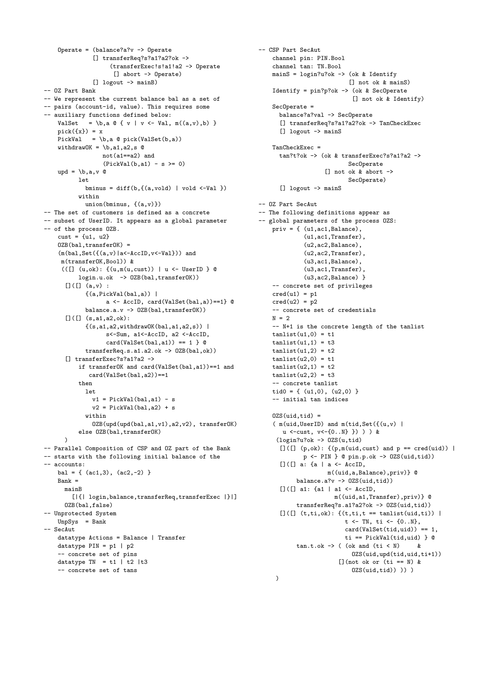```
Operate = (balance?a?v \rightarrow Operate[] transferReq?s?a1?a2?ok ->
                    (transferExec!s!a1!a2 -> Operate
                     [] abort -> Operate)
              [] logout -> mainB)
-- OZ Part Bank
-- We represent the current balance bal as a set of
-- pairs (account-id, value). This requires some
-- auxiliary functions defined below:
    ValSet = \b,a @ { v | v \leftarrow Val, m((a, v), b) }pick({x}) = xPickVal = \b, a \otimes pick(VaSet(b, a))withdrawOK = \b, a1, a2, s @
                 not(a1==a2) and
                 (PickVal(b, a1) - s \ge 0)upd = \b\,, a, v \mathbb{Q}let
            bminus = diff(b,\{(a, \text{vold}) | \text{vold} \leftarrow \text{Val} \})within
            union(bminus, {(a,v)})
-- The set of customers is defined as a concrete
-- subset of UserID. It appears as a global parameter
-- of the process OZB.
   cust = {u1, u2}OZB(bal,transferOK) =
    (m(bal,Set(\{(a,v)|a<-AccID,v<-Val\})) and
     m(transferOK,Bool)) &
     (([] (u, ok): {(u, m(u, cust)) | u \leftarrow UserID } @login.u.ok -> OZB(bal,transferOK))
      []([] (a,v) :{(a,PickVal(bal,a)) |
                 a <- AccID, card(ValSet(bal,a))==1} @
            balance.a.v -> 0ZB(bal,transferOK))
      []([] (s, a1, a2, ok):{(s, a1, a2, with draw OK(bal, a1, a2, s))}s<-Sum, a1<-AccID, a2 <-AccID,
                  card(Valset(bal, a1)) == 1 } @transferReq.s.a1.a2.ok -> OZB(bal,ok))
      [] transferExec?s?a1?a2 ->
          if transferOK and card(ValSet(bal,a1))==1 and
             card(ValSet(bal,a2))==1
          then
            let
              v1 = PickVal(bal.a1) - sv2 = PickVal(bal, a2) + swithin
              OZB(upd(upd(bal,a1,v1),a2,v2), transferOK)
          else OZB(bal,transferOK)
      \lambda-- Parallel Composition of CSP and OZ part of the Bank
-- starts with the following initial balance of the
-- accounts:
   bal = \{ (ac1,3), (ac2,-2) \}Bank =mainB
        [|{| login,balance,transferReq,transferExec |}|]
     OZB(bal,false)
-- Unprotected System
   UnpSys = Bank
-- SecAut
   datatype Actions = Balance | Transfer
   datatype PIN = p1 | p2
    -- concrete set of pins
   datatype TN = t1 | t2 | t3
    -- concrete set of tans
```

```
-- CSP Part SecAut
    channel pin: PIN.Bool
    channel tan: TN.Bool
    mainS = login?u?ok -> (ok & Identify
                           [] not ok & mainS)
    Identify = pin?p?ok -> (ok & SecOperate
                            [] not ok & Identify)
    SecOperate =
      balance?a?val -> SecOperate
      [] transferReq?s?a1?a2?ok -> TanCheckExec
      [] logout -> mainS
   TanCheckExec =
      tan?t?ok -> (ok & transferExec?s?a1?a2 ->
                           SecOperate
                    [] not ok & abort ->
                           SecOperate)
      [] logout -> mainS
-- OZ Part SecAut
-- The following definitions appear as
-- global parameters of the process OZS:
    priv = { (u1, ac1, Balance), }(u1,ac1,Transfer),
              (u2,ac2,Balance),
              (u2,ac2,Transfer),
              (u3,ac1,Balance),
              (u3,ac1,Transfer),
             (u3,ac2,Balance) }
    -- concrete set of privileges
    \text{cred}(u1) = p1\text{cred}(u2) = p2-- concrete set of credentials
    N = 2-- N+1 is the concrete length of the tanlist
    tanhist(ul,0) = t1tanhist(ul,1) = t3tanhist( u1,2) = t2tanhist(u2,0) = t1tanhist( u2,1) = t2tanlist(u2,2) = t3-- concrete tanlist
    tid0 = { (u1,0), (u2,0) }
    -- initial tan indices
    OZS(uid.tid) =
    (m(\text{uid},\text{UserID}) and m(\text{tid},\text{Set}(\{(u,v)\})u <-cust, v<-{0..N} }) ) ) &
     (login?u?ok -> 0ZS(u,tid)[]([] (p, ok): {(p,m(uid,cust) and p == cred(uid)) }p <- PIN } @ pin.p.ok -> OZS(uid,tid))
      []([] a: {a | a <- AccID,
                    m((uid,a,Balance),priv)} @
           balance.a?v \rightarrow 0ZS(uid,tid))[]([] a1: {a1 | a1 <- AccID,
                       m((uid,a1,Transfer),priv)} @
           transferReq?s.a1?a2?ok -> OZS(uid,tid))
      []([] (t, ti, ok): {(t, ti, t == tailist(uid, ti)) }t \leq TN, ti \leq (0..N),
                          card(VaISet(tid,uid)) == 1,
                          ti == PickVal(tid,uid) } @
           tan.t.ok -> ( (\text{ok} and (\text{ti} < N) &
                            OZS(uid,upd(tid,uid,ti+1))
                        [] (not ok or (ti == N) &
                            OZS(uid, tid)))))
     \lambda
```